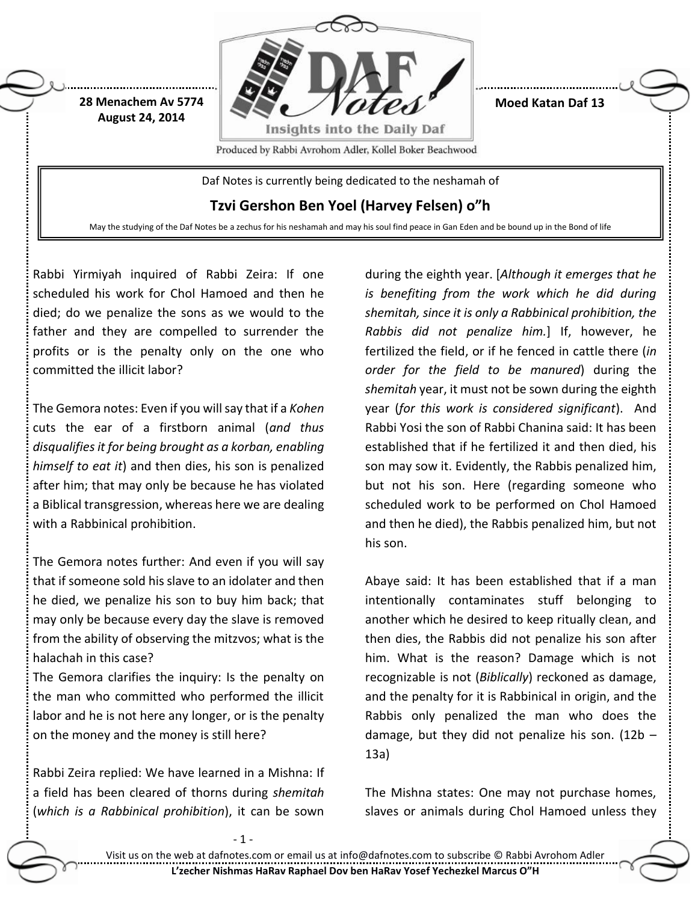

**Moed Katan Daf 13**

Produced by Rabbi Avrohom Adler, Kollel Boker Beachwood

Daf Notes is currently being dedicated to the neshamah of

**Tzvi Gershon Ben Yoel (Harvey Felsen) o"h**

May the studying of the Daf Notes be a zechus for his neshamah and may his soul find peace in Gan Eden and be bound up in the Bond of life

Rabbi Yirmiyah inquired of Rabbi Zeira: If one scheduled his work for Chol Hamoed and then he died; do we penalize the sons as we would to the father and they are compelled to surrender the profits or is the penalty only on the one who committed the illicit labor?

**28 Menachem Av 5774 August 24, 2014**

The Gemora notes: Even if you will say that if a *Kohen* cuts the ear of a firstborn animal (*and thus disqualifies it for being brought as a korban, enabling himself to eat it*) and then dies, his son is penalized after him; that may only be because he has violated a Biblical transgression, whereas here we are dealing with a Rabbinical prohibition.

The Gemora notes further: And even if you will say that if someone sold his slave to an idolater and then he died, we penalize his son to buy him back; that may only be because every day the slave is removed from the ability of observing the mitzvos; what is the halachah in this case?

The Gemora clarifies the inquiry: Is the penalty on the man who committed who performed the illicit labor and he is not here any longer, or is the penalty on the money and the money is still here?

Rabbi Zeira replied: We have learned in a Mishna: If a field has been cleared of thorns during *shemitah* (*which is a Rabbinical prohibition*), it can be sown

during the eighth year. [*Although it emerges that he is benefiting from the work which he did during shemitah, since it is only a Rabbinical prohibition, the Rabbis did not penalize him.*] If, however, he fertilized the field, or if he fenced in cattle there (*in order for the field to be manured*) during the *shemitah* year, it must not be sown during the eighth year (*for this work is considered significant*). And Rabbi Yosi the son of Rabbi Chanina said: It has been established that if he fertilized it and then died, his son may sow it. Evidently, the Rabbis penalized him, but not his son. Here (regarding someone who scheduled work to be performed on Chol Hamoed and then he died), the Rabbis penalized him, but not his son.

Abaye said: It has been established that if a man intentionally contaminates stuff belonging to another which he desired to keep ritually clean, and then dies, the Rabbis did not penalize his son after him. What is the reason? Damage which is not recognizable is not (*Biblically*) reckoned as damage, and the penalty for it is Rabbinical in origin, and the Rabbis only penalized the man who does the damage, but they did not penalize his son.  $(12b - )$ 13a)

The Mishna states: One may not purchase homes, slaves or animals during Chol Hamoed unless they

- 1 -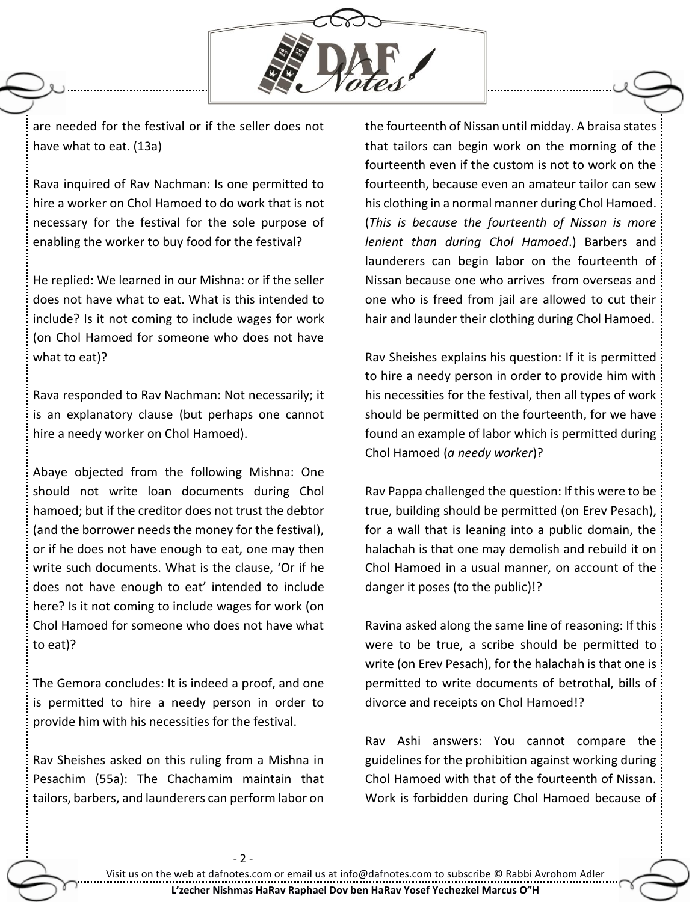

are needed for the festival or if the seller does not have what to eat. (13a)

Rava inquired of Rav Nachman: Is one permitted to hire a worker on Chol Hamoed to do work that is not necessary for the festival for the sole purpose of enabling the worker to buy food for the festival?

He replied: We learned in our Mishna: or if the seller does not have what to eat. What is this intended to include? Is it not coming to include wages for work (on Chol Hamoed for someone who does not have what to eat)?

Rava responded to Rav Nachman: Not necessarily; it is an explanatory clause (but perhaps one cannot hire a needy worker on Chol Hamoed).

Abaye objected from the following Mishna: One should not write loan documents during Chol hamoed; but if the creditor does not trust the debtor (and the borrower needs the money for the festival), or if he does not have enough to eat, one may then write such documents. What is the clause, 'Or if he does not have enough to eat' intended to include here? Is it not coming to include wages for work (on Chol Hamoed for someone who does not have what to eat)?

The Gemora concludes: It is indeed a proof, and one is permitted to hire a needy person in order to provide him with his necessities for the festival.

Rav Sheishes asked on this ruling from a Mishna in Pesachim (55a): The Chachamim maintain that tailors, barbers, and launderers can perform labor on the fourteenth of Nissan until midday. A braisa states that tailors can begin work on the morning of the fourteenth even if the custom is not to work on the fourteenth, because even an amateur tailor can sew his clothing in a normal manner during Chol Hamoed. (*This is because the fourteenth of Nissan is more lenient than during Chol Hamoed*.) Barbers and launderers can begin labor on the fourteenth of Nissan because one who arrives from overseas and one who is freed from jail are allowed to cut their hair and launder their clothing during Chol Hamoed.

Rav Sheishes explains his question: If it is permitted to hire a needy person in order to provide him with his necessities for the festival, then all types of work should be permitted on the fourteenth, for we have found an example of labor which is permitted during Chol Hamoed (*a needy worker*)?

Rav Pappa challenged the question: If this were to be true, building should be permitted (on Erev Pesach), for a wall that is leaning into a public domain, the halachah is that one may demolish and rebuild it on Chol Hamoed in a usual manner, on account of the danger it poses (to the public)!?

Ravina asked along the same line of reasoning: If this were to be true, a scribe should be permitted to write (on Erev Pesach), for the halachah is that one is permitted to write documents of betrothal, bills of divorce and receipts on Chol Hamoed!?

Rav Ashi answers: You cannot compare the guidelines for the prohibition against working during Chol Hamoed with that of the fourteenth of Nissan. Work is forbidden during Chol Hamoed because of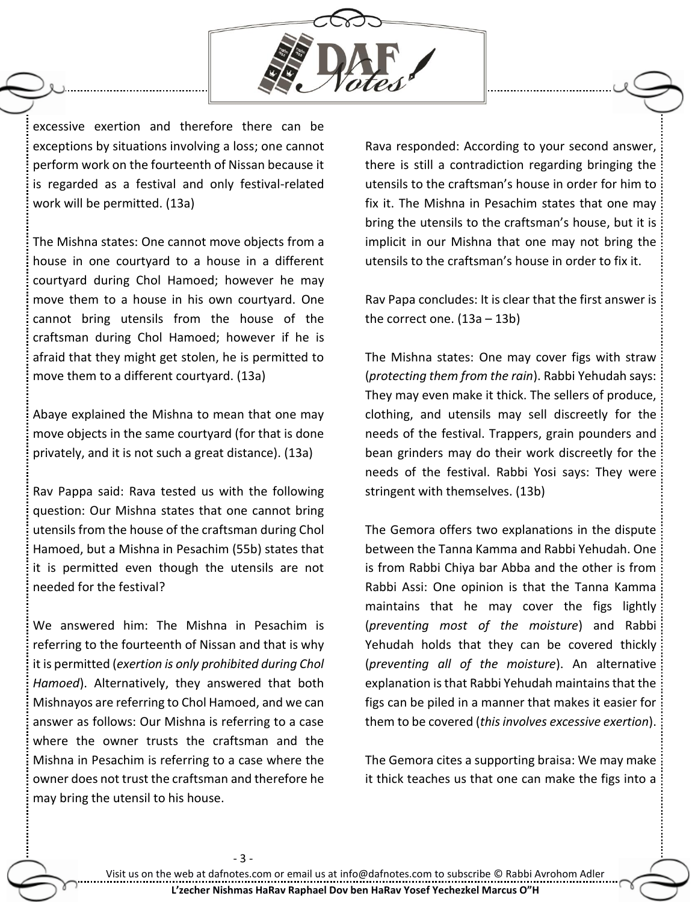

excessive exertion and therefore there can be exceptions by situations involving a loss; one cannot perform work on the fourteenth of Nissan because it is regarded as a festival and only festival-related work will be permitted. (13a)

The Mishna states: One cannot move objects from a house in one courtyard to a house in a different courtyard during Chol Hamoed; however he may move them to a house in his own courtyard. One cannot bring utensils from the house of the craftsman during Chol Hamoed; however if he is afraid that they might get stolen, he is permitted to move them to a different courtyard. (13a)

Abaye explained the Mishna to mean that one may move objects in the same courtyard (for that is done privately, and it is not such a great distance). (13a)

Rav Pappa said: Rava tested us with the following question: Our Mishna states that one cannot bring utensils from the house of the craftsman during Chol Hamoed, but a Mishna in Pesachim (55b) states that it is permitted even though the utensils are not needed for the festival?

We answered him: The Mishna in Pesachim is referring to the fourteenth of Nissan and that is why it is permitted (*exertion is only prohibited during Chol Hamoed*). Alternatively, they answered that both Mishnayos are referring to Chol Hamoed, and we can answer as follows: Our Mishna is referring to a case where the owner trusts the craftsman and the Mishna in Pesachim is referring to a case where the owner does not trust the craftsman and therefore he may bring the utensil to his house.

- 3 -

Rava responded: According to your second answer, there is still a contradiction regarding bringing the utensils to the craftsman's house in order for him to fix it. The Mishna in Pesachim states that one may bring the utensils to the craftsman's house, but it is implicit in our Mishna that one may not bring the utensils to the craftsman's house in order to fix it.

Rav Papa concludes: It is clear that the first answer is the correct one. (13a – 13b)

The Mishna states: One may cover figs with straw (*protecting them from the rain*). Rabbi Yehudah says: They may even make it thick. The sellers of produce, clothing, and utensils may sell discreetly for the needs of the festival. Trappers, grain pounders and bean grinders may do their work discreetly for the needs of the festival. Rabbi Yosi says: They were stringent with themselves. (13b)

The Gemora offers two explanations in the dispute between the Tanna Kamma and Rabbi Yehudah. One is from Rabbi Chiya bar Abba and the other is from Rabbi Assi: One opinion is that the Tanna Kamma maintains that he may cover the figs lightly (*preventing most of the moisture*) and Rabbi Yehudah holds that they can be covered thickly (*preventing all of the moisture*). An alternative explanation is that Rabbi Yehudah maintains that the figs can be piled in a manner that makes it easier for them to be covered (*this involves excessive exertion*).

The Gemora cites a supporting braisa: We may make it thick teaches us that one can make the figs into a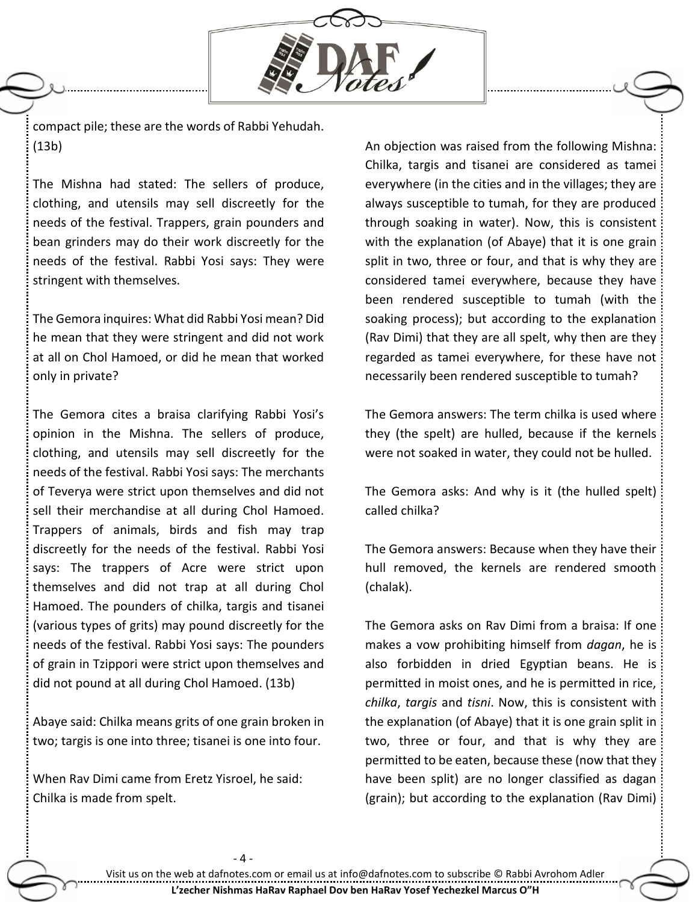

compact pile; these are the words of Rabbi Yehudah. (13b)

The Mishna had stated: The sellers of produce, clothing, and utensils may sell discreetly for the needs of the festival. Trappers, grain pounders and bean grinders may do their work discreetly for the needs of the festival. Rabbi Yosi says: They were stringent with themselves.

The Gemora inquires: What did Rabbi Yosi mean? Did he mean that they were stringent and did not work at all on Chol Hamoed, or did he mean that worked only in private?

The Gemora cites a braisa clarifying Rabbi Yosi's opinion in the Mishna. The sellers of produce, clothing, and utensils may sell discreetly for the needs of the festival. Rabbi Yosi says: The merchants of Teverya were strict upon themselves and did not sell their merchandise at all during Chol Hamoed. Trappers of animals, birds and fish may trap discreetly for the needs of the festival. Rabbi Yosi says: The trappers of Acre were strict upon themselves and did not trap at all during Chol Hamoed. The pounders of chilka, targis and tisanei (various types of grits) may pound discreetly for the needs of the festival. Rabbi Yosi says: The pounders of grain in Tzippori were strict upon themselves and did not pound at all during Chol Hamoed. (13b)

Abaye said: Chilka means grits of one grain broken in two; targis is one into three; tisanei is one into four.

When Rav Dimi came from Eretz Yisroel, he said: Chilka is made from spelt.

An objection was raised from the following Mishna: Chilka, targis and tisanei are considered as tamei everywhere (in the cities and in the villages; they are always susceptible to tumah, for they are produced through soaking in water). Now, this is consistent with the explanation (of Abaye) that it is one grain split in two, three or four, and that is why they are considered tamei everywhere, because they have been rendered susceptible to tumah (with the soaking process); but according to the explanation (Rav Dimi) that they are all spelt, why then are they regarded as tamei everywhere, for these have not necessarily been rendered susceptible to tumah?

The Gemora answers: The term chilka is used where they (the spelt) are hulled, because if the kernels were not soaked in water, they could not be hulled.

The Gemora asks: And why is it (the hulled spelt) called chilka?

The Gemora answers: Because when they have their hull removed, the kernels are rendered smooth (chalak).

The Gemora asks on Rav Dimi from a braisa: If one makes a vow prohibiting himself from *dagan*, he is also forbidden in dried Egyptian beans. He is permitted in moist ones, and he is permitted in rice, *chilka*, *targis* and *tisni*. Now, this is consistent with the explanation (of Abaye) that it is one grain split in two, three or four, and that is why they are permitted to be eaten, because these (now that they have been split) are no longer classified as dagan (grain); but according to the explanation (Rav Dimi)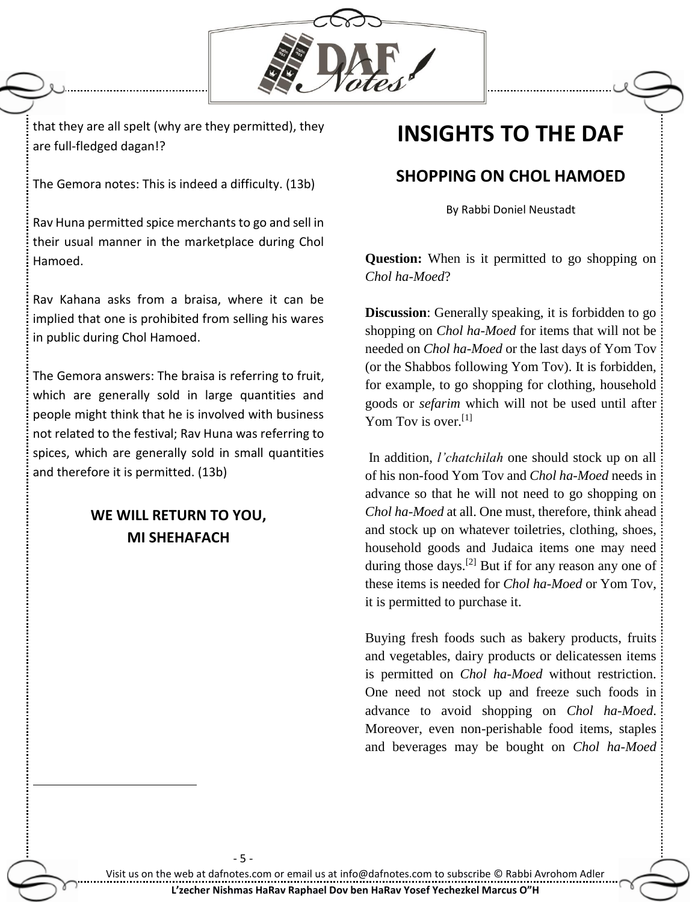

that they are all spelt (why are they permitted), they are full-fledged dagan!?

The Gemora notes: This is indeed a difficulty. (13b)

Rav Huna permitted spice merchants to go and sell in their usual manner in the marketplace during Chol Hamoed.

Rav Kahana asks from a braisa, where it can be implied that one is prohibited from selling his wares in public during Chol Hamoed.

The Gemora answers: The braisa is referring to fruit, which are generally sold in large quantities and people might think that he is involved with business not related to the festival; Rav Huna was referring to spices, which are generally sold in small quantities and therefore it is permitted. (13b)

## **WE WILL RETURN TO YOU, MI SHEHAFACH**

 $\overline{a}$ 

## **INSIGHTS TO THE DAF**

## **SHOPPING ON CHOL HAMOED**

By Rabbi Doniel Neustadt

**Question:** When is it permitted to go shopping on *Chol ha-Moed*?

**Discussion**: Generally speaking, it is forbidden to go shopping on *Chol ha-Moed* for items that will not be needed on *Chol ha-Moed* or the last days of Yom Tov (or the Shabbos following Yom Tov). It is forbidden, for example, to go shopping for clothing, household goods or *sefarim* which will not be used until after Yom Tov is over.<sup>[1]</sup>

In addition, *l'chatchilah* one should stock up on all of his non-food Yom Tov and *Chol ha-Moed* needs in advance so that he will not need to go shopping on *Chol ha-Moed* at all. One must, therefore, think ahead and stock up on whatever toiletries, clothing, shoes, household goods and Judaica items one may need during those days.<sup>[2]</sup> But if for any reason any one of these items is needed for *Chol ha-Moed* or Yom Tov, it is permitted to purchase it.

Buying fresh foods such as bakery products, fruits and vegetables, dairy products or delicatessen items is permitted on *Chol ha-Moed* without restriction. One need not stock up and freeze such foods in advance to avoid shopping on *Chol ha-Moed*. Moreover, even non-perishable food items, staples and beverages may be bought on *Chol ha-Moed*

- 5 -